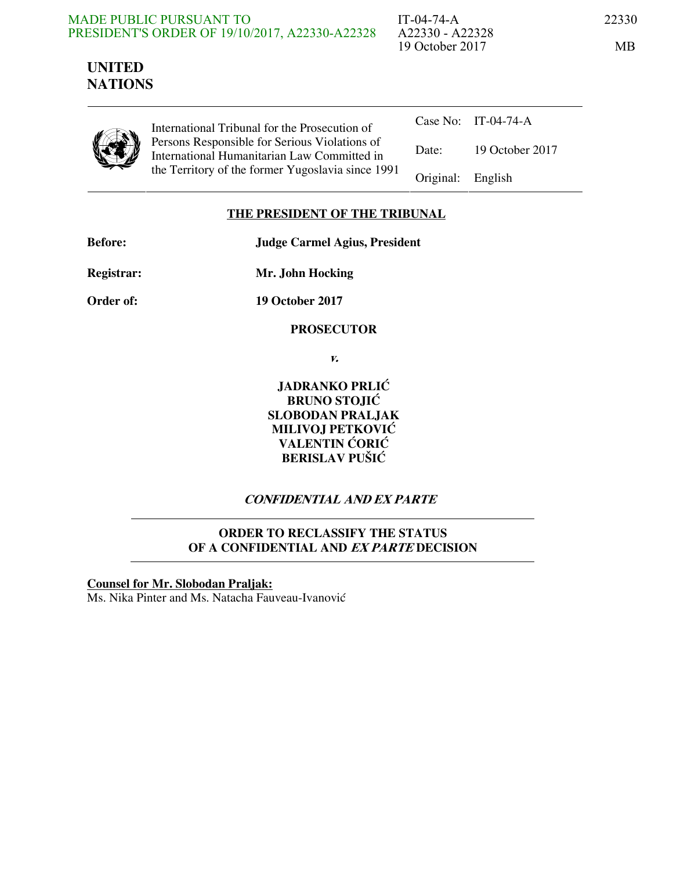#### MADE PUBLIC PURSUANT TO PRESIDENT'S ORDER OF 19/10/2017, A22330-A22328

IT-04-74-A 22330 A22330 - A22328 19 October 2017 MB

# **UNITED NATIONS**

International Tribunal for the Prosecution of Persons Responsible for Serious Violations of International Humanitarian Law Committed in the Territory of the former Yugoslavia since 1991

|                   | Case No: IT-04-74-A |
|-------------------|---------------------|
| Date:             | 19 October 2017     |
| Original: English |                     |

## **THE PRESIDENT OF THE TRIBUNAL**

**Before: Judge Carmel Agius, President** 

**Registrar: Mr. John Hocking** 

**Order of: 19 October 2017** 

 **PROSECUTOR** 

**v.** 

**JADRANKO PRLIĆ BRUNO STOJIĆ SLOBODAN PRALJAK MILIVOJ PETKOVIĆ VALENTIN ĆORIĆ BERISLAV PUŠIĆ** 

# **CONFIDENTIAL AND EX PARTE**

## **ORDER TO RECLASSIFY THE STATUS OF A CONFIDENTIAL AND EX PARTE DECISION**

**Counsel for Mr. Slobodan Praljak:** Ms. Nika Pinter and Ms. Natacha Fauveau-Ivanović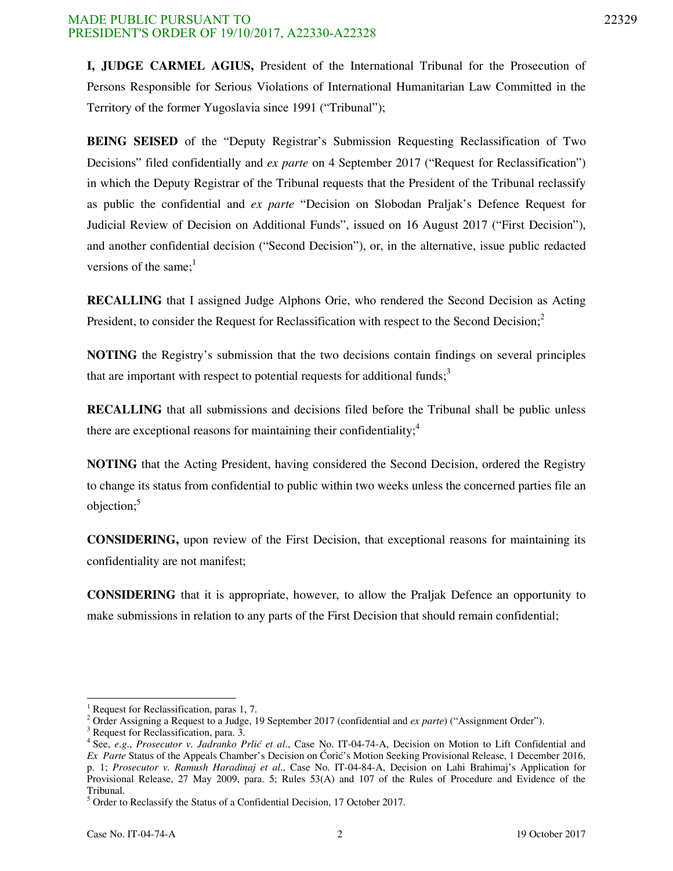#### MADE PUBLIC PURSUANT TO 22329 PRESIDENT'S ORDER OF 19/10/2017, A22330-A22328

**I, JUDGE CARMEL AGIUS,** President of the International Tribunal for the Prosecution of Persons Responsible for Serious Violations of International Humanitarian Law Committed in the Territory of the former Yugoslavia since 1991 ("Tribunal");

**BEING SEISED** of the "Deputy Registrar's Submission Requesting Reclassification of Two Decisions" filed confidentially and *ex parte* on 4 September 2017 ("Request for Reclassification") in which the Deputy Registrar of the Tribunal requests that the President of the Tribunal reclassify as public the confidential and *ex parte* "Decision on Slobodan Praljak's Defence Request for Judicial Review of Decision on Additional Funds", issued on 16 August 2017 ("First Decision"), and another confidential decision ("Second Decision"), or, in the alternative, issue public redacted versions of the same; $<sup>1</sup>$ </sup>

**RECALLING** that I assigned Judge Alphons Orie, who rendered the Second Decision as Acting President, to consider the Request for Reclassification with respect to the Second Decision; $<sup>2</sup>$ </sup>

**NOTING** the Registry's submission that the two decisions contain findings on several principles that are important with respect to potential requests for additional funds;<sup>3</sup>

**RECALLING** that all submissions and decisions filed before the Tribunal shall be public unless there are exceptional reasons for maintaining their confidentiality; $\frac{4}{3}$ 

**NOTING** that the Acting President, having considered the Second Decision, ordered the Registry to change its status from confidential to public within two weeks unless the concerned parties file an objection;<sup>5</sup>

**CONSIDERING,** upon review of the First Decision, that exceptional reasons for maintaining its confidentiality are not manifest;

**CONSIDERING** that it is appropriate, however, to allow the Praljak Defence an opportunity to make submissions in relation to any parts of the First Decision that should remain confidential;

-

<sup>1</sup> Request for Reclassification, paras 1, 7.

<sup>&</sup>lt;sup>2</sup> Order Assigning a Request to a Judge, 19 September 2017 (confidential and *ex parte*) ("Assignment Order").

<sup>3</sup> Request for Reclassification, para. 3.

<sup>&</sup>lt;sup>4</sup> See, *e.g., Prosecutor v. Jadranko Prlić et al.*, Case No. IT-04-74-A, Decision on Motion to Lift Confidential and *Ex Parte* Status of the Appeals Chamber's Decision on Ćorić's Motion Seeking Provisional Release, 1 December 2016, p. 1; *Prosecutor v. Ramush Haradinaj et al*., Case No. IT-04-84-A, Decision on Lahi Brahimaj's Application for Provisional Release, 27 May 2009, para. 5; Rules 53(A) and 107 of the Rules of Procedure and Evidence of the Tribunal.

<sup>&</sup>lt;sup>5</sup> Order to Reclassify the Status of a Confidential Decision, 17 October 2017.